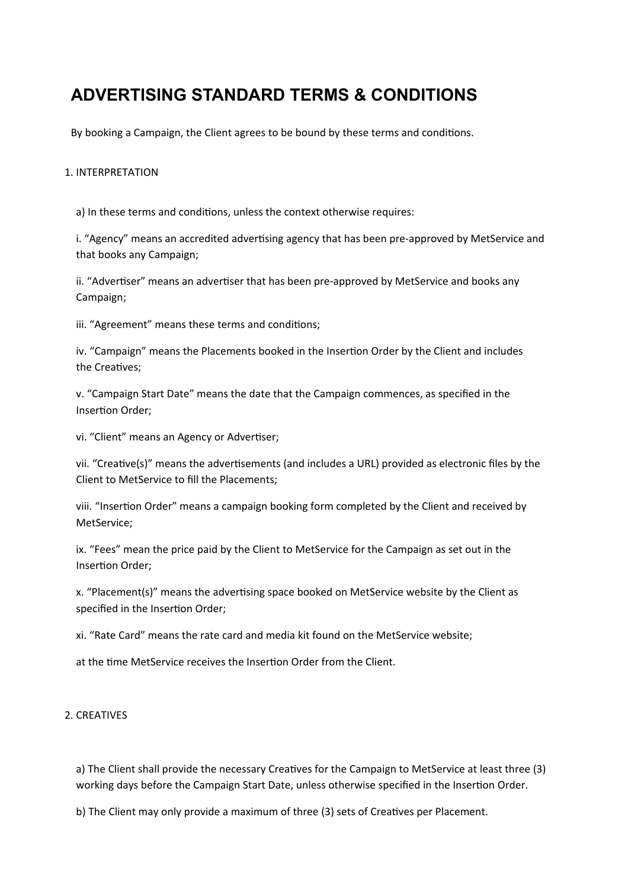# **ADVERTISING STANDARD TERMS & CONDITIONS**

By booking a Campaign, the Client agrees to be bound by these terms and conditions.

## 1. INTERPRETATION

a) In these terms and conditions, unless the context otherwise requires:

i. "Agency" means an accredited advertising agency that has been pre-approved by MetService and that books any Campaign;

ii. "Advertiser" means an advertiser that has been pre-approved by MetService and books any Campaign;

iii. "Agreement" means these terms and conditions;

iv. "Campaign" means the Placements booked in the Insertion Order by the Client and includes the Creatives;

v. "Campaign Start Date" means the date that the Campaign commences, as specified in the Insertion Order;

vi. "Client" means an Agency or Advertiser;

vii. "Creative(s)" means the advertisements (and includes a URL) provided as electronic files by the Client to MetService to fill the Placements;

viii. "Insertion Order" means a campaign booking form completed by the Client and received by MetService;

ix. "Fees" mean the price paid by the Client to MetService for the Campaign as set out in the Insertion Order;

x. "Placement(s)" means the advertising space booked on MetService website by the Client as specified in the Insertion Order;

xi. "Rate Card" means the rate card and media kit found on the MetService website;

at the time MetService receives the Insertion Order from the Client.

# 2. CREATIVES

a) The Client shall provide the necessary Creatives for the Campaign to MetService at least three (3) working days before the Campaign Start Date, unless otherwise specified in the Insertion Order.

b) The Client may only provide a maximum of three (3) sets of Creatives per Placement.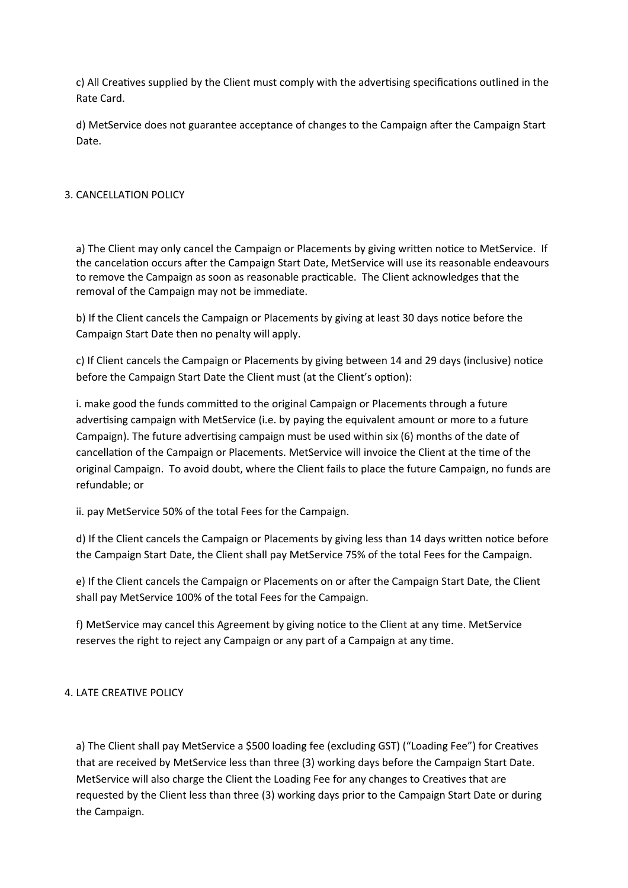c) All Creatives supplied by the Client must comply with the advertising specifications outlined in the Rate Card.

d) MetService does not guarantee acceptance of changes to the Campaign after the Campaign Start Date.

# 3. CANCELLATION POLICY

a) The Client may only cancel the Campaign or Placements by giving written notice to MetService. If the cancelation occurs after the Campaign Start Date, MetService will use its reasonable endeavours to remove the Campaign as soon as reasonable practicable. The Client acknowledges that the removal of the Campaign may not be immediate.

b) If the Client cancels the Campaign or Placements by giving at least 30 days notice before the Campaign Start Date then no penalty will apply.

c) If Client cancels the Campaign or Placements by giving between 14 and 29 days (inclusive) notice before the Campaign Start Date the Client must (at the Client's option):

i. make good the funds committed to the original Campaign or Placements through a future advertising campaign with MetService (i.e. by paying the equivalent amount or more to a future Campaign). The future advertising campaign must be used within six (6) months of the date of cancellation of the Campaign or Placements. MetService will invoice the Client at the time of the original Campaign. To avoid doubt, where the Client fails to place the future Campaign, no funds are refundable; or

ii. pay MetService 50% of the total Fees for the Campaign.

d) If the Client cancels the Campaign or Placements by giving less than 14 days written notice before the Campaign Start Date, the Client shall pay MetService 75% of the total Fees for the Campaign.

e) If the Client cancels the Campaign or Placements on or after the Campaign Start Date, the Client shall pay MetService 100% of the total Fees for the Campaign.

f) MetService may cancel this Agreement by giving notice to the Client at any time. MetService reserves the right to reject any Campaign or any part of a Campaign at any time.

# 4. LATE CREATIVE POLICY

a) The Client shall pay MetService a \$500 loading fee (excluding GST) ("Loading Fee") for Creatives that are received by MetService less than three (3) working days before the Campaign Start Date. MetService will also charge the Client the Loading Fee for any changes to Creatives that are requested by the Client less than three (3) working days prior to the Campaign Start Date or during the Campaign.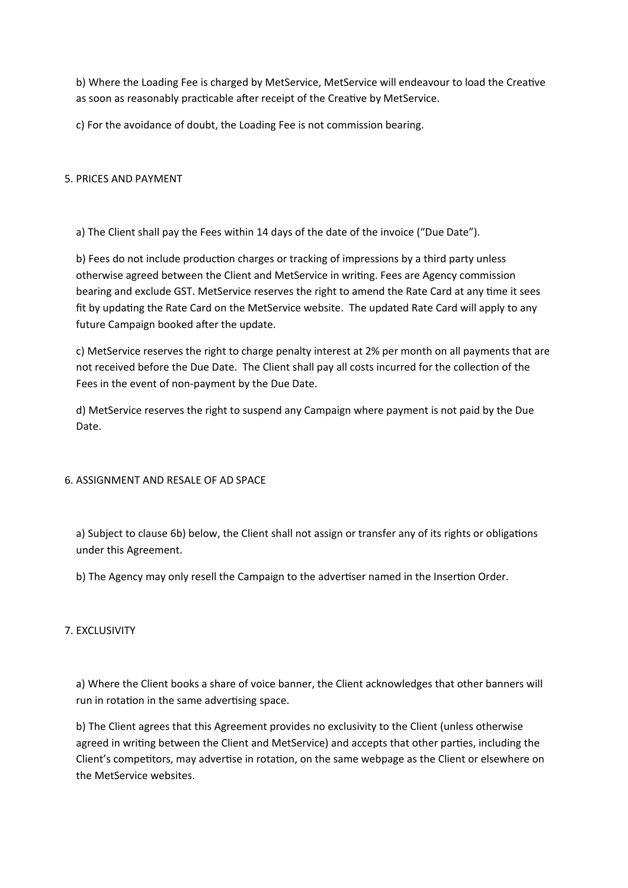b) Where the Loading Fee is charged by MetService, MetService will endeavour to load the Creative as soon as reasonably practicable after receipt of the Creative by MetService.

c) For the avoidance of doubt, the Loading Fee is not commission bearing.

## 5. PRICES AND PAYMENT

a) The Client shall pay the Fees within 14 days of the date of the invoice ("Due Date").

b) Fees do not include production charges or tracking of impressions by a third party unless otherwise agreed between the Client and MetService in writing. Fees are Agency commission bearing and exclude GST. MetService reserves the right to amend the Rate Card at any time it sees fit by updating the Rate Card on the MetService website. The updated Rate Card will apply to any future Campaign booked after the update.

c) MetService reserves the right to charge penalty interest at 2% per month on all payments that are not received before the Due Date. The Client shall pay all costs incurred for the collection of the Fees in the event of non-payment by the Due Date.

d) MetService reserves the right to suspend any Campaign where payment is not paid by the Due Date.

## 6. ASSIGNMENT AND RESALE OF AD SPACE

a) Subject to clause 6b) below, the Client shall not assign or transfer any of its rights or obligations under this Agreement.

b) The Agency may only resell the Campaign to the advertiser named in the Insertion Order.

# 7. EXCLUSIVITY

a) Where the Client books a share of voice banner, the Client acknowledges that other banners will run in rotation in the same advertising space.

b) The Client agrees that this Agreement provides no exclusivity to the Client (unless otherwise agreed in writing between the Client and MetService) and accepts that other parties, including the Client's competitors, may advertise in rotation, on the same webpage as the Client or elsewhere on the MetService websites.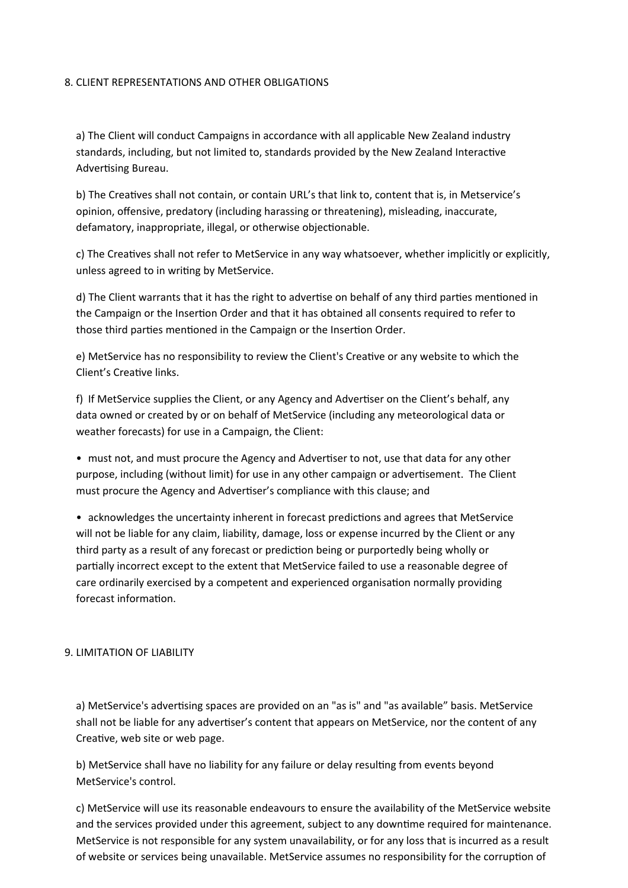## 8. CLIENT REPRESENTATIONS AND OTHER OBLIGATIONS

a) The Client will conduct Campaigns in accordance with all applicable New Zealand industry standards, including, but not limited to, standards provided by the New Zealand Interactive Advertising Bureau.

b) The Creatives shall not contain, or contain URL's that link to, content that is, in Metservice's opinion, offensive, predatory (including harassing or threatening), misleading, inaccurate, defamatory, inappropriate, illegal, or otherwise objectionable.

c) The Creatives shall not refer to MetService in any way whatsoever, whether implicitly or explicitly, unless agreed to in writing by MetService.

d) The Client warrants that it has the right to advertise on behalf of any third parties mentioned in the Campaign or the Insertion Order and that it has obtained all consents required to refer to those third parties mentioned in the Campaign or the Insertion Order.

e) MetService has no responsibility to review the Client's Creative or any website to which the Client's Creative links.

f) If MetService supplies the Client, or any Agency and Advertiser on the Client's behalf, any data owned or created by or on behalf of MetService (including any meteorological data or weather forecasts) for use in a Campaign, the Client:

• must not, and must procure the Agency and Advertiser to not, use that data for any other purpose, including (without limit) for use in any other campaign or advertisement. The Client must procure the Agency and Advertiser's compliance with this clause; and

• acknowledges the uncertainty inherent in forecast predictions and agrees that MetService will not be liable for any claim, liability, damage, loss or expense incurred by the Client or any third party as a result of any forecast or prediction being or purportedly being wholly or partially incorrect except to the extent that MetService failed to use a reasonable degree of care ordinarily exercised by a competent and experienced organisation normally providing forecast information.

# 9. LIMITATION OF LIABILITY

a) MetService's advertising spaces are provided on an "as is" and "as available" basis. MetService shall not be liable for any advertiser's content that appears on MetService, nor the content of any Creative, web site or web page.

b) MetService shall have no liability for any failure or delay resulting from events beyond MetService's control.

c) MetService will use its reasonable endeavours to ensure the availability of the MetService website and the services provided under this agreement, subject to any downtime required for maintenance. MetService is not responsible for any system unavailability, or for any loss that is incurred as a result of website or services being unavailable. MetService assumes no responsibility for the corruption of